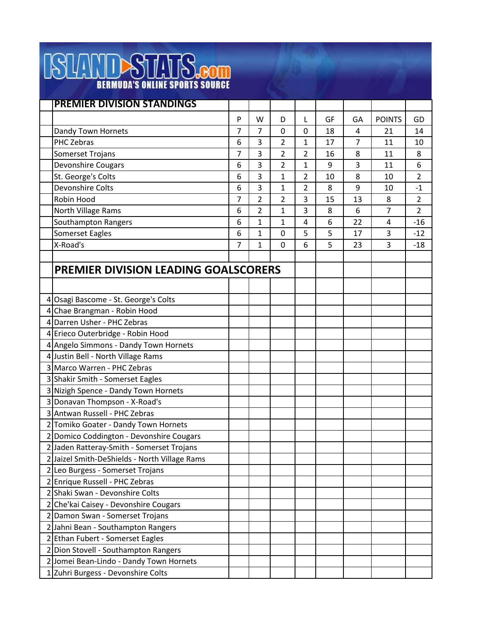## **ISLAND STATS.com PREMIER DIVISION STANDINGS** P W D L GF GA POINTS

|                                               | ٢              | ٧V             | υ              | L              | ⊍⊧ | ωA             | PUINIS         | שט             |
|-----------------------------------------------|----------------|----------------|----------------|----------------|----|----------------|----------------|----------------|
| Dandy Town Hornets                            | $\overline{7}$ | $\overline{7}$ | 0              | $\mathbf 0$    | 18 | 4              | 21             | 14             |
| PHC Zebras                                    | 6              | 3              | $\overline{2}$ | $\mathbf{1}$   | 17 | $\overline{7}$ | 11             | 10             |
| Somerset Trojans                              | 7              | 3              | 2              | 2              | 16 | 8              | 11             | 8              |
| Devonshire Cougars                            | 6              | 3              | $\overline{2}$ | 1              | 9  | 3              | 11             | 6              |
| St. George's Colts                            | 6              | 3              | 1              | $\overline{2}$ | 10 | 8              | 10             | $\overline{2}$ |
| Devonshire Colts                              | 6              | 3              | 1              | 2              | 8  | 9              | 10             | $-1$           |
| Robin Hood                                    | 7              | 2              | 2              | 3              | 15 | 13             | 8              | $\overline{2}$ |
| North Village Rams                            | 6              | 2              | 1              | 3              | 8  | 6              | $\overline{7}$ | $\overline{2}$ |
| Southampton Rangers                           | 6              | 1              | 1              | 4              | 6  | 22             | 4              | $-16$          |
| <b>Somerset Eagles</b>                        | 6              | 1              | 0              | 5              | 5  | 17             | 3              | $-12$          |
| X-Road's                                      | 7              | $\mathbf{1}$   | $\mathbf 0$    | 6              | 5  | 23             | 3              | $-18$          |
|                                               |                |                |                |                |    |                |                |                |
| <b>PREMIER DIVISION LEADING GOALSCORERS</b>   |                |                |                |                |    |                |                |                |
|                                               |                |                |                |                |    |                |                |                |
| 4 Osagi Bascome - St. George's Colts          |                |                |                |                |    |                |                |                |
| 4 Chae Brangman - Robin Hood                  |                |                |                |                |    |                |                |                |
| 4 Darren Usher - PHC Zebras                   |                |                |                |                |    |                |                |                |
| 4 Erieco Outerbridge - Robin Hood             |                |                |                |                |    |                |                |                |
| 4 Angelo Simmons - Dandy Town Hornets         |                |                |                |                |    |                |                |                |
| 4 Justin Bell - North Village Rams            |                |                |                |                |    |                |                |                |
| 3 Marco Warren - PHC Zebras                   |                |                |                |                |    |                |                |                |
| 3 Shakir Smith - Somerset Eagles              |                |                |                |                |    |                |                |                |
| 3 Nizigh Spence - Dandy Town Hornets          |                |                |                |                |    |                |                |                |
| 3 Donavan Thompson - X-Road's                 |                |                |                |                |    |                |                |                |
| 3 Antwan Russell - PHC Zebras                 |                |                |                |                |    |                |                |                |
| 2 Tomiko Goater - Dandy Town Hornets          |                |                |                |                |    |                |                |                |
| 2 Domico Coddington - Devonshire Cougars      |                |                |                |                |    |                |                |                |
| 2 Jaden Ratteray-Smith - Somerset Trojans     |                |                |                |                |    |                |                |                |
| 2 Jaizel Smith-DeShields - North Village Rams |                |                |                |                |    |                |                |                |
| 2 Leo Burgess - Somerset Trojans              |                |                |                |                |    |                |                |                |
| 2 Enrique Russell - PHC Zebras                |                |                |                |                |    |                |                |                |
| 2 Shaki Swan - Devonshire Colts               |                |                |                |                |    |                |                |                |
| 2 Che'kai Caisey - Devonshire Cougars         |                |                |                |                |    |                |                |                |
| 2 Damon Swan - Somerset Trojans               |                |                |                |                |    |                |                |                |
| 2 Jahni Bean - Southampton Rangers            |                |                |                |                |    |                |                |                |
| 2 Ethan Fubert - Somerset Eagles              |                |                |                |                |    |                |                |                |
| 2 Dion Stovell - Southampton Rangers          |                |                |                |                |    |                |                |                |
| 2 Jomei Bean-Lindo - Dandy Town Hornets       |                |                |                |                |    |                |                |                |
| 1 Zuhri Burgess - Devonshire Colts            |                |                |                |                |    |                |                |                |
|                                               |                |                |                |                |    |                |                |                |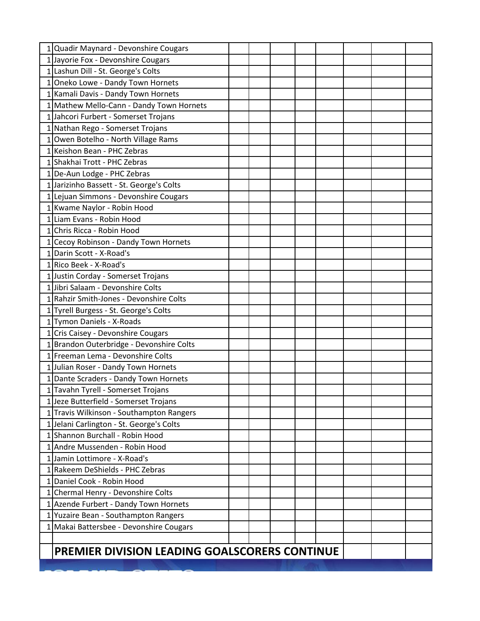| 1 Quadir Maynard - Devonshire Cougars         |  |  |  |  |
|-----------------------------------------------|--|--|--|--|
| 1 Jayorie Fox - Devonshire Cougars            |  |  |  |  |
| 1 Lashun Dill - St. George's Colts            |  |  |  |  |
| 1 Oneko Lowe - Dandy Town Hornets             |  |  |  |  |
| 1 Kamali Davis - Dandy Town Hornets           |  |  |  |  |
| 1 Mathew Mello-Cann - Dandy Town Hornets      |  |  |  |  |
| 1 Jahcori Furbert - Somerset Trojans          |  |  |  |  |
| 1 Nathan Rego - Somerset Trojans              |  |  |  |  |
| 1 Owen Botelho - North Village Rams           |  |  |  |  |
| 1 Keishon Bean - PHC Zebras                   |  |  |  |  |
| 1 Shakhai Trott - PHC Zebras                  |  |  |  |  |
| 1 De-Aun Lodge - PHC Zebras                   |  |  |  |  |
| 1 Jarizinho Bassett - St. George's Colts      |  |  |  |  |
| 1 Lejuan Simmons - Devonshire Cougars         |  |  |  |  |
| 1 Kwame Naylor - Robin Hood                   |  |  |  |  |
| 1 Liam Evans - Robin Hood                     |  |  |  |  |
| 1 Chris Ricca - Robin Hood                    |  |  |  |  |
| 1 Cecoy Robinson - Dandy Town Hornets         |  |  |  |  |
| 1 Darin Scott - X-Road's                      |  |  |  |  |
| 1 Rico Beek - X-Road's                        |  |  |  |  |
| 1 Justin Corday - Somerset Trojans            |  |  |  |  |
| 1 Jibri Salaam - Devonshire Colts             |  |  |  |  |
| 1 Rahzir Smith-Jones - Devonshire Colts       |  |  |  |  |
| 1 Tyrell Burgess - St. George's Colts         |  |  |  |  |
| 1 Tymon Daniels - X-Roads                     |  |  |  |  |
| 1 Cris Caisey - Devonshire Cougars            |  |  |  |  |
| 1 Brandon Outerbridge - Devonshire Colts      |  |  |  |  |
| 1 Freeman Lema - Devonshire Colts             |  |  |  |  |
| 1 Julian Roser - Dandy Town Hornets           |  |  |  |  |
| 1 Dante Scraders - Dandy Town Hornets         |  |  |  |  |
| 1 Tavahn Tyrell - Somerset Trojans            |  |  |  |  |
| 1 Jeze Butterfield - Somerset Trojans         |  |  |  |  |
| 1 Travis Wilkinson - Southampton Rangers      |  |  |  |  |
| 1 Jelani Carlington - St. George's Colts      |  |  |  |  |
| 1 Shannon Burchall - Robin Hood               |  |  |  |  |
| 1 Andre Mussenden - Robin Hood                |  |  |  |  |
| 1 Jamin Lottimore - X-Road's                  |  |  |  |  |
| 1 Rakeem DeShields - PHC Zebras               |  |  |  |  |
| 1 Daniel Cook - Robin Hood                    |  |  |  |  |
| 1 Chermal Henry - Devonshire Colts            |  |  |  |  |
| 1 Azende Furbert - Dandy Town Hornets         |  |  |  |  |
| 1 Yuzaire Bean - Southampton Rangers          |  |  |  |  |
| 1 Makai Battersbee - Devonshire Cougars       |  |  |  |  |
|                                               |  |  |  |  |
| PREMIER DIVISION LEADING GOALSCORERS CONTINUE |  |  |  |  |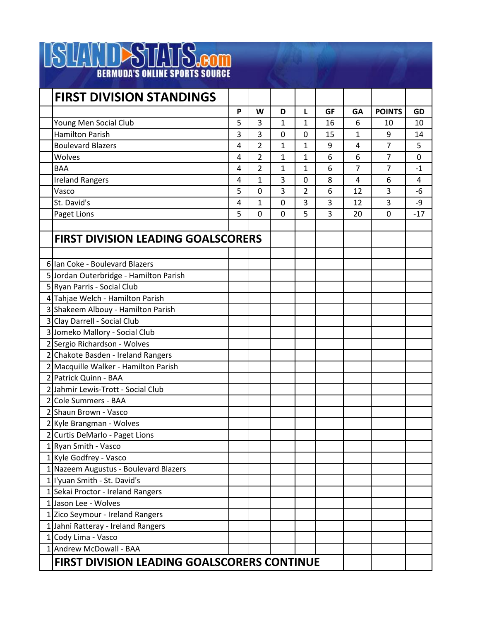

| <b>FIRST DIVISION STANDINGS</b>                    |   |                |              |                |           |    |                |       |
|----------------------------------------------------|---|----------------|--------------|----------------|-----------|----|----------------|-------|
|                                                    | P | W              | D            | L              | <b>GF</b> | GA | <b>POINTS</b>  | GD    |
| Young Men Social Club                              | 5 | 3              | 1            | 1              | 16        | 6  | 10             | 10    |
| <b>Hamilton Parish</b>                             | 3 | 3              | 0            | 0              | 15        | 1  | 9              | 14    |
| <b>Boulevard Blazers</b>                           | 4 | 2              | $\mathbf{1}$ | 1              | 9         | 4  | $\overline{7}$ | 5     |
| Wolves                                             | 4 | $\overline{2}$ | $\mathbf{1}$ | $\mathbf{1}$   | 6         | 6  | 7              | 0     |
| <b>BAA</b>                                         | 4 | 2              | 1            | 1              | 6         | 7  | 7              | $-1$  |
| <b>Ireland Rangers</b>                             | 4 | 1              | 3            | 0              | 8         | 4  | 6              | 4     |
| Vasco                                              | 5 | $\mathbf 0$    | 3            | $\overline{2}$ | 6         | 12 | 3              | $-6$  |
| St. David's                                        | 4 | 1              | 0            | 3              | 3         | 12 | 3              | -9    |
| Paget Lions                                        | 5 | 0              | 0            | 5              | 3         | 20 | $\mathbf 0$    | $-17$ |
|                                                    |   |                |              |                |           |    |                |       |
| <b>FIRST DIVISION LEADING GOALSCORERS</b>          |   |                |              |                |           |    |                |       |
|                                                    |   |                |              |                |           |    |                |       |
| 6 Ian Coke - Boulevard Blazers                     |   |                |              |                |           |    |                |       |
| 5 Jordan Outerbridge - Hamilton Parish             |   |                |              |                |           |    |                |       |
| 5 Ryan Parris - Social Club                        |   |                |              |                |           |    |                |       |
| 4 Tahjae Welch - Hamilton Parish                   |   |                |              |                |           |    |                |       |
| 3 Shakeem Albouy - Hamilton Parish                 |   |                |              |                |           |    |                |       |
| 3 Clay Darrell - Social Club                       |   |                |              |                |           |    |                |       |
| 3 Jomeko Mallory - Social Club                     |   |                |              |                |           |    |                |       |
| 2 Sergio Richardson - Wolves                       |   |                |              |                |           |    |                |       |
| 2 Chakote Basden - Ireland Rangers                 |   |                |              |                |           |    |                |       |
| 2 Macquille Walker - Hamilton Parish               |   |                |              |                |           |    |                |       |
| 2 Patrick Quinn - BAA                              |   |                |              |                |           |    |                |       |
| 2 Jahmir Lewis-Trott - Social Club                 |   |                |              |                |           |    |                |       |
| 2 Cole Summers - BAA                               |   |                |              |                |           |    |                |       |
| 2 Shaun Brown - Vasco                              |   |                |              |                |           |    |                |       |
| 2 Kyle Brangman - Wolves                           |   |                |              |                |           |    |                |       |
| 2 Curtis DeMarlo - Paget Lions                     |   |                |              |                |           |    |                |       |
| 1 Ryan Smith - Vasco                               |   |                |              |                |           |    |                |       |
| 1 Kyle Godfrey - Vasco                             |   |                |              |                |           |    |                |       |
| 1 Nazeem Augustus - Boulevard Blazers              |   |                |              |                |           |    |                |       |
| 1 I'yuan Smith - St. David's                       |   |                |              |                |           |    |                |       |
| 1 Sekai Proctor - Ireland Rangers                  |   |                |              |                |           |    |                |       |
| 1 Jason Lee - Wolves                               |   |                |              |                |           |    |                |       |
| 1 Zico Seymour - Ireland Rangers                   |   |                |              |                |           |    |                |       |
| 1 Jahni Ratteray - Ireland Rangers                 |   |                |              |                |           |    |                |       |
| 1 Cody Lima - Vasco                                |   |                |              |                |           |    |                |       |
| 1 Andrew McDowall - BAA                            |   |                |              |                |           |    |                |       |
| <b>FIRST DIVISION LEADING GOALSCORERS CONTINUE</b> |   |                |              |                |           |    |                |       |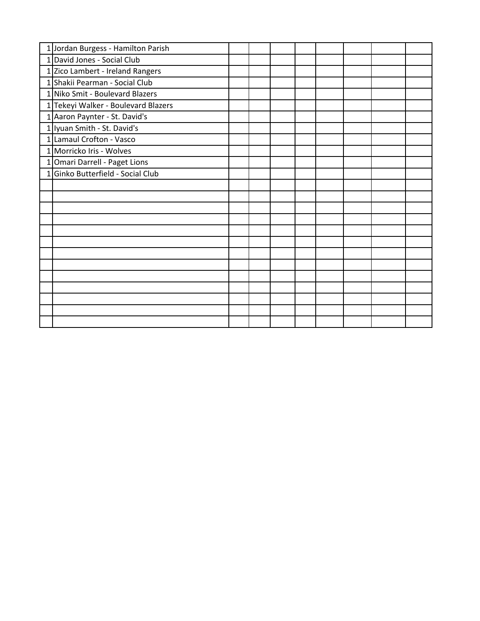| 1 Jordan Burgess - Hamilton Parish  |  |  |  |  |
|-------------------------------------|--|--|--|--|
| 1 David Jones - Social Club         |  |  |  |  |
| 1 Zico Lambert - Ireland Rangers    |  |  |  |  |
| 1 Shakii Pearman - Social Club      |  |  |  |  |
| 1 Niko Smit - Boulevard Blazers     |  |  |  |  |
| 1 Tekeyi Walker - Boulevard Blazers |  |  |  |  |
| 1 Aaron Paynter - St. David's       |  |  |  |  |
| 1 Iyuan Smith - St. David's         |  |  |  |  |
| 1 Lamaul Crofton - Vasco            |  |  |  |  |
| 1 Morricko Iris - Wolves            |  |  |  |  |
| 1 Omari Darrell - Paget Lions       |  |  |  |  |
| 1 Ginko Butterfield - Social Club   |  |  |  |  |
|                                     |  |  |  |  |
|                                     |  |  |  |  |
|                                     |  |  |  |  |
|                                     |  |  |  |  |
|                                     |  |  |  |  |
|                                     |  |  |  |  |
|                                     |  |  |  |  |
|                                     |  |  |  |  |
|                                     |  |  |  |  |
|                                     |  |  |  |  |
|                                     |  |  |  |  |
|                                     |  |  |  |  |
|                                     |  |  |  |  |